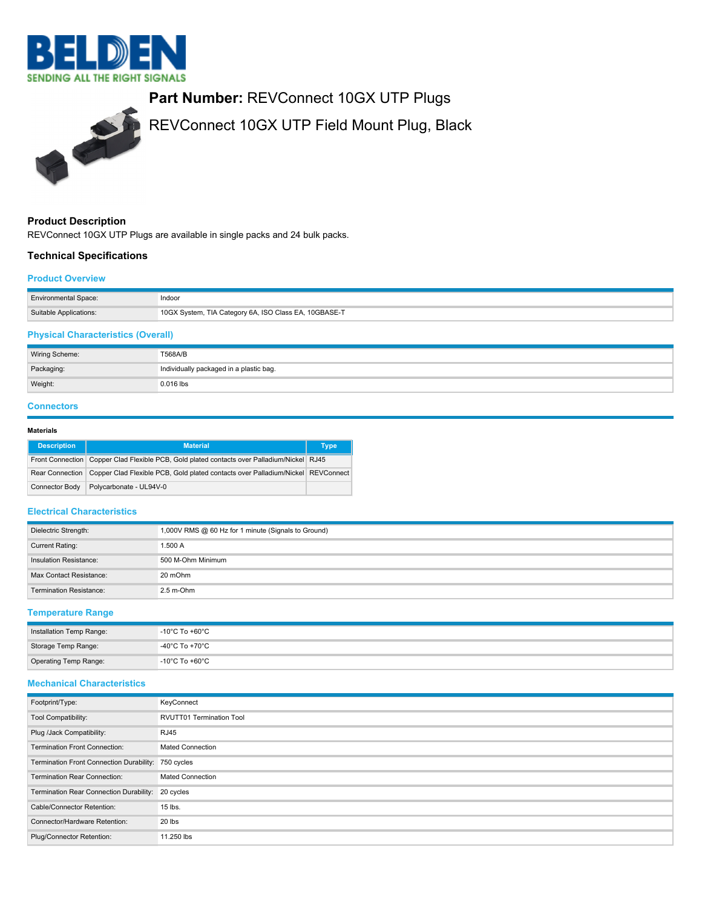



# **Product Description**

REVConnect 10GX UTP Plugs are available in single packs and 24 bulk packs.

# **Technical Specifications**

#### **Product Overview**

| <b>Environmental Space:</b> | Indoor                                                |
|-----------------------------|-------------------------------------------------------|
| Suitable Applications:      | 10GX System, TIA Category 6A, ISO Class EA, 10GBASE-T |

# **Physical Characteristics (Overall)**

| Wiring Scheme: | T568A/B                                 |
|----------------|-----------------------------------------|
| Packaging:     | Individually packaged in a plastic bag. |
| Weight:        | $0.016$ lbs                             |

### **Connectors**

# **Materials**

| <b>Description</b> | <b>Material</b>                                                                                 | <b>Type</b> |
|--------------------|-------------------------------------------------------------------------------------------------|-------------|
|                    | Front Connection Copper Clad Flexible PCB, Gold plated contacts over Palladium/Nickel RJ45      |             |
|                    | Rear Connection Copper Clad Flexible PCB, Gold plated contacts over Palladium/Nickel REVConnect |             |
| Connector Body     | Polycarbonate - UL94V-0                                                                         |             |

### **Electrical Characteristics**

| Dielectric Strength:           | 1,000V RMS @ 60 Hz for 1 minute (Signals to Ground) |
|--------------------------------|-----------------------------------------------------|
| <b>Current Rating:</b>         | 1.500 A                                             |
| Insulation Resistance:         | 500 M-Ohm Minimum                                   |
| Max Contact Resistance:        | 20 mOhm                                             |
| <b>Termination Resistance:</b> | $2.5$ m-Ohm                                         |

# **Temperature Range**

| Installation Temp Range: | $-10^{\circ}$ C To +60 $^{\circ}$ C |
|--------------------------|-------------------------------------|
| Storage Temp Range:      | -40°C To +70°C                      |
| Operating Temp Range:    | -10°C To +60°C                      |

# **Mechanical Characteristics**

| Footprint/Type:                                     | KeyConnect                      |
|-----------------------------------------------------|---------------------------------|
| Tool Compatibility:                                 | <b>RVUTT01 Termination Tool</b> |
| Plug /Jack Compatibility:                           | <b>RJ45</b>                     |
| <b>Termination Front Connection:</b>                | <b>Mated Connection</b>         |
| Termination Front Connection Durability: 750 cycles |                                 |
| Termination Rear Connection:                        | <b>Mated Connection</b>         |
| Termination Rear Connection Durability: 20 cycles   |                                 |
| Cable/Connector Retention:                          | 15 lbs.                         |
| Connector/Hardware Retention:                       | 20 lbs                          |
| Plug/Connector Retention:                           | 11.250 lbs                      |